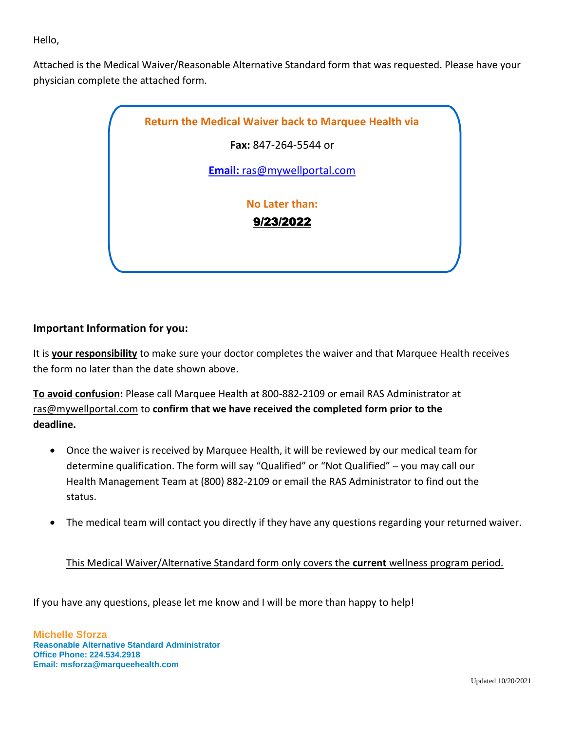Hello,

Attached is the Medical Waiver/Reasonable Alternative Standard form that was requested. Please have your physician complete the attached form.



## **Important Information for you:**

It is **your responsibility** to make sure your doctor completes the waiver and that Marquee Health receives the form no later than the date shown above.

**To avoid confusion:** Please call Marquee Health at 800-882-2109 or email RAS Administrator at [ras@mywellportal.com](mailto:ras@mywellportal.com) to **confirm that we have received the completed form prior to the deadline.**

- Once the waiver is received by Marquee Health, it will be reviewed by our medical team for determine qualification. The form will say "Qualified" or "Not Qualified" – you may call our Health Management Team at (800) 882-2109 or email the RAS Administrator to find out the status.
- The medical team will contact you directly if they have any questions regarding your returned waiver.

## This Medical Waiver/Alternative Standard form only covers the **current** wellness program period.

If you have any questions, please let me know and I will be more than happy to help!